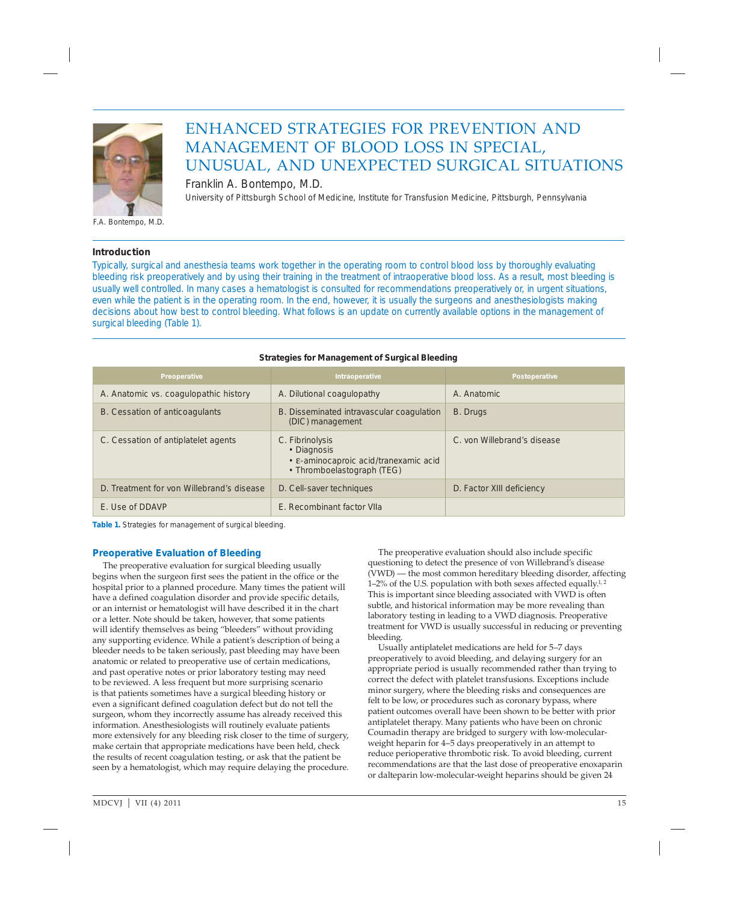

ENHANCED STRATEGIES FOR PREVENTION AND MANAGEMENT OF BLOOD LOSS IN SPECIAL, UNUSUAL, AND UNEXPECTED SURGICAL SITUATIONS

Franklin A. Bontempo, M.D.

*University of Pittsburgh School of Medicine, Institute for Transfusion Medicine, Pittsburgh, Pennsylvania*

# **Introduction**

Typically, surgical and anesthesia teams work together in the operating room to control blood loss by thoroughly evaluating bleeding risk preoperatively and by using their training in the treatment of intraoperative blood loss. As a result, most bleeding is usually well controlled. In many cases a hematologist is consulted for recommendations preoperatively or, in urgent situations, even while the patient is in the operating room. In the end, however, it is usually the surgeons and anesthesiologists making decisions about how best to control bleeding. What follows is an update on currently available options in the management of surgical bleeding (Table 1).

#### **Strategies for Management of Surgical Bleeding**

| Preoperative                              | Intraoperative                                                                                        | Postoperative               |
|-------------------------------------------|-------------------------------------------------------------------------------------------------------|-----------------------------|
| A. Anatomic vs. coagulopathic history     | A. Dilutional coagulopathy                                                                            | A. Anatomic.                |
| B. Cessation of anticoagulants            | B. Disseminated intravascular coaquiation<br>(DIC) management                                         | B. Drugs                    |
| C. Cessation of antiplatelet agents       | C. Fibrinolysis<br>• Diagnosis<br>• E-aminocaproic acid/tranexamic acid<br>• Thromboelastograph (TEG) | C. von Willebrand's disease |
| D. Treatment for von Willebrand's disease | D. Cell-saver techniques                                                                              | D. Factor XIII deficiency   |
| E. Use of DDAVP                           | E. Recombinant factor VIIa                                                                            |                             |

**Table 1.** Strategies for management of surgical bleeding.

## **Preoperative Evaluation of Bleeding**

The preoperative evaluation for surgical bleeding usually begins when the surgeon first sees the patient in the office or the hospital prior to a planned procedure. Many times the patient will have a defined coagulation disorder and provide specific details, or an internist or hematologist will have described it in the chart or a letter. Note should be taken, however, that some patients will identify themselves as being "bleeders" without providing any supporting evidence. While a patient's description of being a bleeder needs to be taken seriously, past bleeding may have been anatomic or related to preoperative use of certain medications, and past operative notes or prior laboratory testing may need to be reviewed. A less frequent but more surprising scenario is that patients sometimes have a surgical bleeding history or even a significant defined coagulation defect but do not tell the surgeon, whom they incorrectly assume has already received this information. Anesthesiologists will routinely evaluate patients more extensively for any bleeding risk closer to the time of surgery, make certain that appropriate medications have been held, check the results of recent coagulation testing, or ask that the patient be seen by a hematologist, which may require delaying the procedure.

The preoperative evaluation should also include specific questioning to detect the presence of von Willebrand's disease (VWD) — the most common hereditary bleeding disorder, affecting 1–2% of the U.S. population with both sexes affected equally.<sup>1, 2</sup> This is important since bleeding associated with VWD is often subtle, and historical information may be more revealing than laboratory testing in leading to a VWD diagnosis. Preoperative treatment for VWD is usually successful in reducing or preventing bleeding.

Usually antiplatelet medications are held for 5–7 days preoperatively to avoid bleeding, and delaying surgery for an appropriate period is usually recommended rather than trying to correct the defect with platelet transfusions. Exceptions include minor surgery, where the bleeding risks and consequences are felt to be low, or procedures such as coronary bypass, where patient outcomes overall have been shown to be better with prior antiplatelet therapy. Many patients who have been on chronic Coumadin therapy are bridged to surgery with low-molecularweight heparin for 4–5 days preoperatively in an attempt to reduce perioperative thrombotic risk. To avoid bleeding, current recommendations are that the last dose of preoperative enoxaparin or dalteparin low-molecular-weight heparins should be given 24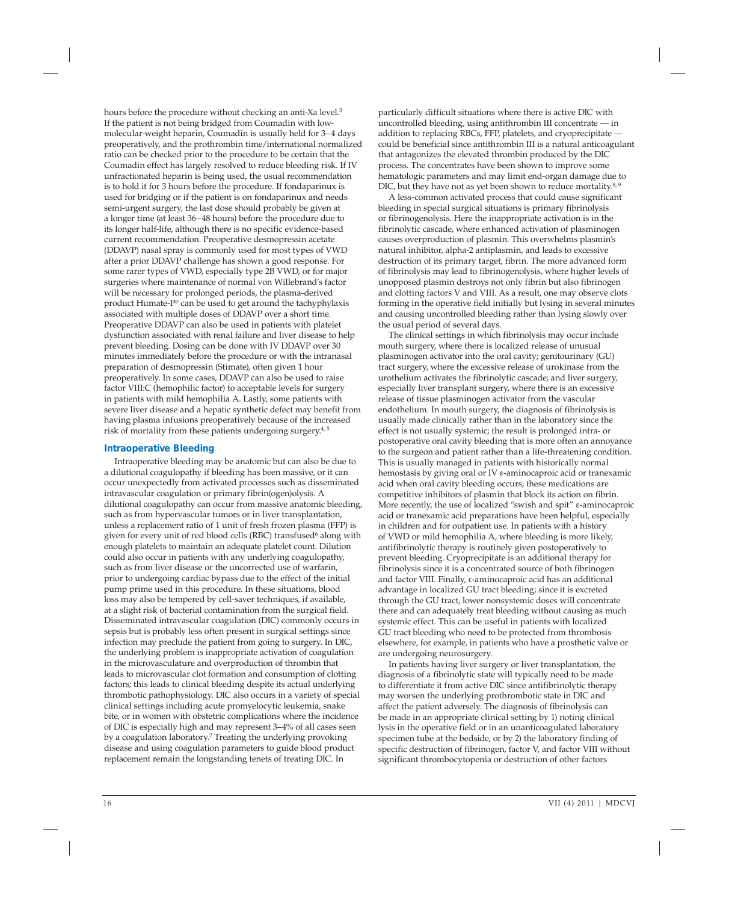hours before the procedure without checking an anti-Xa level.3 If the patient is not being bridged from Coumadin with lowmolecular-weight heparin, Coumadin is usually held for 3–4 days preoperatively, and the prothrombin time/international normalized ratio can be checked prior to the procedure to be certain that the Coumadin effect has largely resolved to reduce bleeding risk. If IV unfractionated heparin is being used, the usual recommendation is to hold it for 3 hours before the procedure. If fondaparinux is used for bridging or if the patient is on fondaparinux and needs semi-urgent surgery, the last dose should probably be given at a longer time (at least 36– 48 hours) before the procedure due to its longer half-life, although there is no specific evidence-based current recommendation. Preoperative desmopressin acetate (DDAVP) nasal spray is commonly used for most types of VWD after a prior DDAVP challenge has shown a good response. For some rarer types of VWD, especially type 2B VWD, or for major surgeries where maintenance of normal von Willebrand's factor will be necessary for prolonged periods, the plasma-derived product Humate-P® can be used to get around the tachyphylaxis associated with multiple doses of DDAVP over a short time. Preoperative DDAVP can also be used in patients with platelet dysfunction associated with renal failure and liver disease to help prevent bleeding. Dosing can be done with IV DDAVP over 30 minutes immediately before the procedure or with the intranasal preparation of desmopressin (Stimate), often given 1 hour preoperatively. In some cases, DDAVP can also be used to raise factor VIII:C (hemophilic factor) to acceptable levels for surgery in patients with mild hemophilia A. Lastly, some patients with severe liver disease and a hepatic synthetic defect may benefit from having plasma infusions preoperatively because of the increased risk of mortality from these patients undergoing surgery.<sup>4, 5</sup>

## **Intraoperative Bleeding**

Intraoperative bleeding may be anatomic but can also be due to a dilutional coagulopathy if bleeding has been massive, or it can occur unexpectedly from activated processes such as disseminated intravascular coagulation or primary fibrin(ogen)olysis. A dilutional coagulopathy can occur from massive anatomic bleeding, such as from hypervascular tumors or in liver transplantation, unless a replacement ratio of 1 unit of fresh frozen plasma (FFP) is given for every unit of red blood cells (RBC) transfused<sup>6</sup> along with enough platelets to maintain an adequate platelet count. Dilution could also occur in patients with any underlying coagulopathy, such as from liver disease or the uncorrected use of warfarin, prior to undergoing cardiac bypass due to the effect of the initial pump prime used in this procedure. In these situations, blood loss may also be tempered by cell-saver techniques, if available, at a slight risk of bacterial contamination from the surgical field. Disseminated intravascular coagulation (DIC) commonly occurs in sepsis but is probably less often present in surgical settings since infection may preclude the patient from going to surgery. In DIC, the underlying problem is inappropriate activation of coagulation in the microvasculature and overproduction of thrombin that leads to microvascular clot formation and consumption of clotting factors; this leads to clinical bleeding despite its actual underlying thrombotic pathophysiology. DIC also occurs in a variety of special clinical settings including acute promyelocytic leukemia, snake bite, or in women with obstetric complications where the incidence of DIC is especially high and may represent 3–4% of all cases seen by a coagulation laboratory.<sup>7</sup> Treating the underlying provoking disease and using coagulation parameters to guide blood product replacement remain the longstanding tenets of treating DIC. In

particularly difficult situations where there is active DIC with uncontrolled bleeding, using antithrombin III concentrate — in addition to replacing RBCs, FFP, platelets, and cryoprecipitate could be beneficial since antithrombin III is a natural anticoagulant that antagonizes the elevated thrombin produced by the DIC process. The concentrates have been shown to improve some hematologic parameters and may limit end-organ damage due to DIC, but they have not as yet been shown to reduce mortality. $8,9$ 

A less-common activated process that could cause significant bleeding in special surgical situations is primary fibrinolysis or fibrinogenolysis. Here the inappropriate activation is in the fibrinolytic cascade, where enhanced activation of plasminogen causes overproduction of plasmin. This overwhelms plasmin's natural inhibitor, alpha-2 antiplasmin, and leads to excessive destruction of its primary target, fibrin. The more advanced form of fibrinolysis may lead to fibrinogenolysis, where higher levels of unopposed plasmin destroys not only fibrin but also fibrinogen and clotting factors V and VIII. As a result, one may observe clots forming in the operative field initially but lysing in several minutes and causing uncontrolled bleeding rather than lysing slowly over the usual period of several days.

The clinical settings in which fibrinolysis may occur include mouth surgery, where there is localized release of unusual plasminogen activator into the oral cavity; genitourinary (GU) tract surgery, where the excessive release of urokinase from the urothelium activates the fibrinolytic cascade; and liver surgery, especially liver transplant surgery, where there is an excessive release of tissue plasminogen activator from the vascular endothelium. In mouth surgery, the diagnosis of fibrinolysis is usually made clinically rather than in the laboratory since the effect is not usually systemic; the result is prolonged intra- or postoperative oral cavity bleeding that is more often an annoyance to the surgeon and patient rather than a life-threatening condition. This is usually managed in patients with historically normal hemostasis by giving oral or IV ε-aminocaproic acid or tranexamic acid when oral cavity bleeding occurs; these medications are competitive inhibitors of plasmin that block its action on fibrin. More recently, the use of localized "swish and spit" ε-aminocaproic acid or tranexamic acid preparations have been helpful, especially in children and for outpatient use. In patients with a history of VWD or mild hemophilia A, where bleeding is more likely, antifibrinolytic therapy is routinely given postoperatively to prevent bleeding. Cryoprecipitate is an additional therapy for fibrinolysis since it is a concentrated source of both fibrinogen and factor VIII. Finally, ε-aminocaproic acid has an additional advantage in localized GU tract bleeding; since it is excreted through the GU tract, lower nonsystemic doses will concentrate there and can adequately treat bleeding without causing as much systemic effect. This can be useful in patients with localized GU tract bleeding who need to be protected from thrombosis elsewhere, for example, in patients who have a prosthetic valve or are undergoing neurosurgery.

In patients having liver surgery or liver transplantation, the diagnosis of a fibrinolytic state will typically need to be made to differentiate it from active DIC since antifibrinolytic therapy may worsen the underlying prothrombotic state in DIC and affect the patient adversely. The diagnosis of fibrinolysis can be made in an appropriate clinical setting by 1) noting clinical lysis in the operative field or in an unanticoagulated laboratory specimen tube at the bedside, or by 2) the laboratory finding of specific destruction of fibrinogen, factor V, and factor VIII without significant thrombocytopenia or destruction of other factors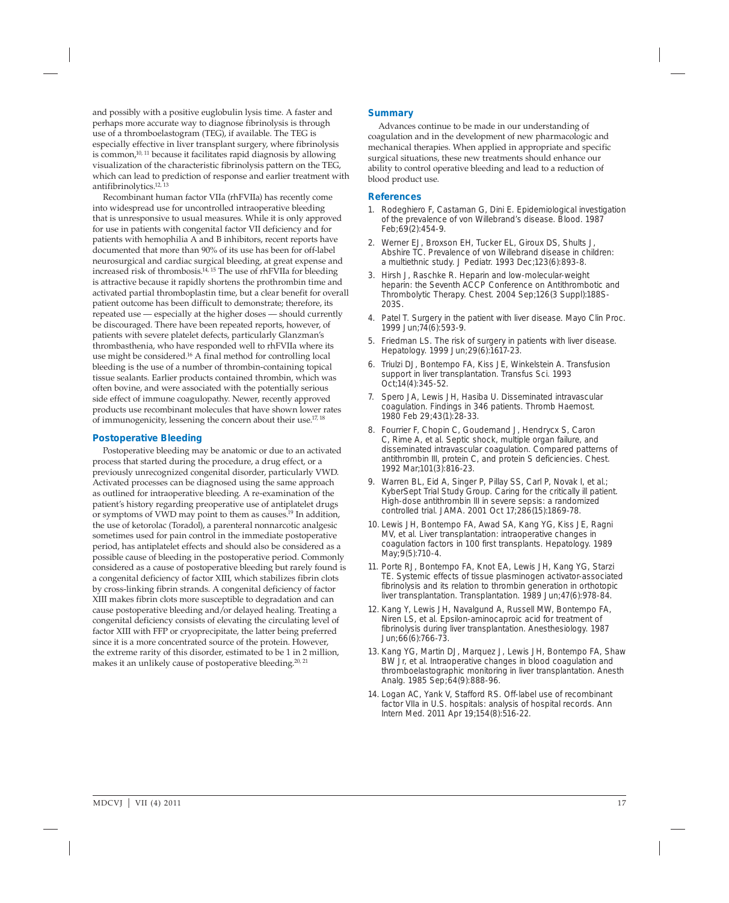and possibly with a positive euglobulin lysis time. A faster and perhaps more accurate way to diagnose fibrinolysis is through use of a thromboelastogram (TEG), if available. The TEG is especially effective in liver transplant surgery, where fibrinolysis is common, $10, 11$  because it facilitates rapid diagnosis by allowing visualization of the characteristic fibrinolysis pattern on the TEG, which can lead to prediction of response and earlier treatment with antifibrinolytics.<sup>12,13</sup>

Recombinant human factor VIIa (rhFVIIa) has recently come into widespread use for uncontrolled intraoperative bleeding that is unresponsive to usual measures. While it is only approved for use in patients with congenital factor VII deficiency and for patients with hemophilia A and B inhibitors, recent reports have documented that more than 90% of its use has been for off-label neurosurgical and cardiac surgical bleeding, at great expense and increased risk of thrombosis.<sup>14, 15</sup> The use of rhFVIIa for bleeding is attractive because it rapidly shortens the prothrombin time and activated partial thromboplastin time, but a clear benefit for overall patient outcome has been difficult to demonstrate; therefore, its repeated use — especially at the higher doses — should currently be discouraged. There have been repeated reports, however, of patients with severe platelet defects, particularly Glanzman's thrombasthenia, who have responded well to rhFVIIa where its use might be considered.16 A final method for controlling local bleeding is the use of a number of thrombin-containing topical tissue sealants. Earlier products contained thrombin, which was often bovine, and were associated with the potentially serious side effect of immune coagulopathy. Newer, recently approved products use recombinant molecules that have shown lower rates of immunogenicity, lessening the concern about their use.<sup>17, 18</sup>

## **Postoperative Bleeding**

Postoperative bleeding may be anatomic or due to an activated process that started during the procedure, a drug effect, or a previously unrecognized congenital disorder, particularly VWD. Activated processes can be diagnosed using the same approach as outlined for intraoperative bleeding. A re-examination of the patient's history regarding preoperative use of antiplatelet drugs or symptoms of VWD may point to them as causes.<sup>19</sup> In addition, the use of ketorolac (Toradol), a parenteral nonnarcotic analgesic sometimes used for pain control in the immediate postoperative period, has antiplatelet effects and should also be considered as a possible cause of bleeding in the postoperative period. Commonly considered as a cause of postoperative bleeding but rarely found is a congenital deficiency of factor XIII, which stabilizes fibrin clots by cross-linking fibrin strands. A congenital deficiency of factor XIII makes fibrin clots more susceptible to degradation and can cause postoperative bleeding and/or delayed healing. Treating a congenital deficiency consists of elevating the circulating level of factor XIII with FFP or cryoprecipitate, the latter being preferred since it is a more concentrated source of the protein. However, the extreme rarity of this disorder, estimated to be 1 in 2 million, makes it an unlikely cause of postoperative bleeding.20, 21

#### **Summary**

Advances continue to be made in our understanding of coagulation and in the development of new pharmacologic and mechanical therapies. When applied in appropriate and specific surgical situations, these new treatments should enhance our ability to control operative bleeding and lead to a reduction of blood product use.

### **References**

- 1. Rodeghiero F, Castaman G, Dini E. Epidemiological investigation of the prevalence of von Willebrand's disease. Blood. 1987 Feb;69(2):454-9.
- 2. Werner EJ, Broxson EH, Tucker EL, Giroux DS, Shults J, Abshire TC. Prevalence of von Willebrand disease in children: a multiethnic study. J Pediatr. 1993 Dec;123(6):893-8.
- 3. Hirsh J, Raschke R. Heparin and low-molecular-weight heparin: the Seventh ACCP Conference on Antithrombotic and Thrombolytic Therapy. Chest. 2004 Sep;126(3 Suppl):188S-203S.
- 4. Patel T. Surgery in the patient with liver disease. Mayo Clin Proc. 1999 Jun;74(6):593-9.
- 5. Friedman LS. The risk of surgery in patients with liver disease. Hepatology. 1999 Jun;29(6):1617-23.
- 6. Triulzi DJ, Bontempo FA, Kiss JE, Winkelstein A. Transfusion support in liver transplantation. Transfus Sci. 1993 Oct;14(4):345-52.
- 7. Spero JA, Lewis JH, Hasiba U. Disseminated intravascular coagulation. Findings in 346 patients. Thromb Haemost. 1980 Feb 29;43(1):28-33.
- 8. Fourrier F, Chopin C, Goudemand J, Hendrycx S, Caron C, Rime A, et al. Septic shock, multiple organ failure, and disseminated intravascular coagulation. Compared patterns of antithrombin III, protein C, and protein S deficiencies. Chest. 1992 Mar;101(3):816-23.
- 9. Warren BL, Eid A, Singer P, Pillay SS, Carl P, Novak I, et al.; KyberSept Trial Study Group. Caring for the critically ill patient. High-dose antithrombin III in severe sepsis: a randomized controlled trial. JAMA. 2001 Oct 17;286(15):1869-78.
- 10. Lewis JH, Bontempo FA, Awad SA, Kang YG, Kiss JE, Ragni MV, et al. Liver transplantation: intraoperative changes in coagulation factors in 100 first transplants. Hepatology. 1989 May;9(5):710-4.
- 11. Porte RJ, Bontempo FA, Knot EA, Lewis JH, Kang YG, Starzi TE. Systemic effects of tissue plasminogen activator-associated fibrinolysis and its relation to thrombin generation in orthotopic liver transplantation. Transplantation. 1989 Jun;47(6):978-84.
- 12. Kang Y, Lewis JH, Navalgund A, Russell MW, Bontempo FA, Niren LS, et al. Epsilon-aminocaproic acid for treatment of fibrinolysis during liver transplantation. Anesthesiology. 1987 Jun;66(6):766-73.
- 13. Kang YG, Martin DJ, Marquez J, Lewis JH, Bontempo FA, Shaw BW Jr, et al. Intraoperative changes in blood coagulation and thromboelastographic monitoring in liver transplantation. Anesth Analg. 1985 Sep;64(9):888-96.
- 14. Logan AC, Yank V, Stafford RS. Off-label use of recombinant factor VIIa in U.S. hospitals: analysis of hospital records. Ann Intern Med. 2011 Apr 19;154(8):516-22.